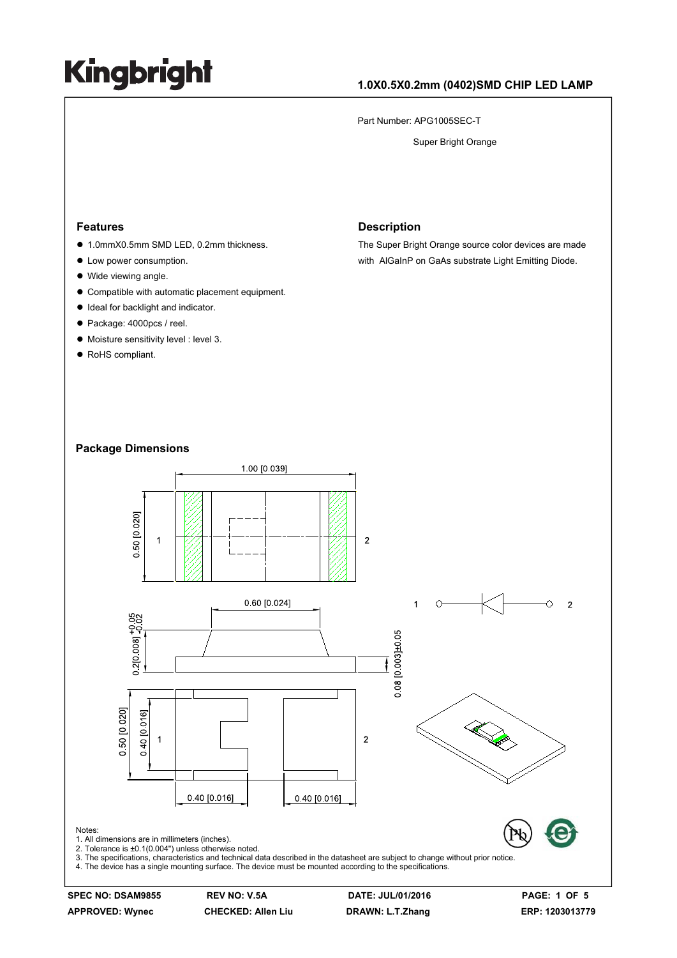### **1.0X0.5X0.2mm (0402)SMD CHIP LED LAMP**

Part Number: APG1005SEC-T

Super Bright Orange

#### **Features**

- 1.0mmX0.5mm SMD LED, 0.2mm thickness.
- Low power consumption.
- Wide viewing angle.
- $\bullet$  Compatible with automatic placement equipment.
- $\bullet$  Ideal for backlight and indicator.
- Package: 4000pcs / reel.
- $\bullet$  Moisture sensitivity level : level 3.
- RoHS compliant.

#### **Description**

The Super Bright Orange source color devices are made with AlGaInP on GaAs substrate Light Emitting Diode.

#### **Package Dimensions**



**SPEC NO: DSAM9855 REV NO: V.5A DATE: JUL/01/2016 PAGE: 1 OF 5 APPROVED: Wynec CHECKED: Allen Liu DRAWN: L.T.Zhang ERP: 1203013779**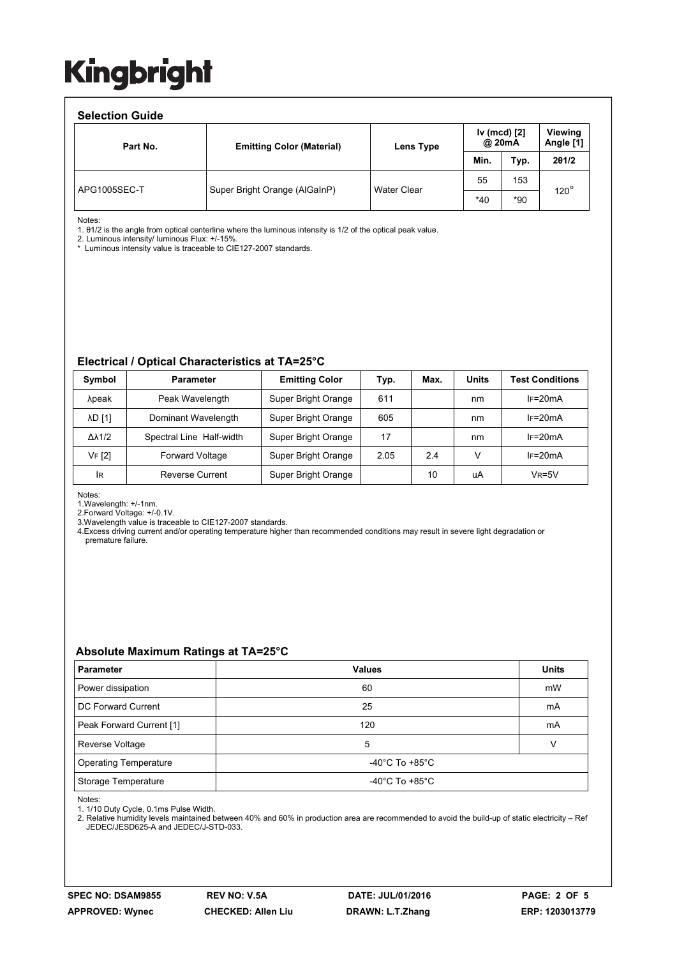#### **Selection Guide**

| opinan amar  |                                  |                    |                        |       |                      |  |  |  |  |
|--------------|----------------------------------|--------------------|------------------------|-------|----------------------|--|--|--|--|
| Part No.     | <b>Emitting Color (Material)</b> | Lens Type          | Iv (mcd) [2]<br>@ 20mA |       | Viewing<br>Angle [1] |  |  |  |  |
|              |                                  |                    | Min.                   | Typ.  | 201/2                |  |  |  |  |
| APG1005SEC-T | Super Bright Orange (AlGaInP)    | <b>Water Clear</b> | 55                     | 153   | $120^\circ$          |  |  |  |  |
|              |                                  |                    | $*40$                  | $*90$ |                      |  |  |  |  |

Notes:

1. θ1/2 is the angle from optical centerline where the luminous intensity is 1/2 of the optical peak value.

2. Luminous intensity/ luminous Flux: +/-15%.

\* Luminous intensity value is traceable to CIE127-2007 standards.

#### **Electrical / Optical Characteristics at TA=25°C**

| Symbol              | <b>Parameter</b>         | <b>Emitting Color</b> | Typ. | Max. | <b>Units</b> | <b>Test Conditions</b> |
|---------------------|--------------------------|-----------------------|------|------|--------------|------------------------|
| λpeak               | Peak Wavelength          | Super Bright Orange   | 611  |      | nm           | $IF=20mA$              |
| <b>AD</b> [1]       | Dominant Wavelength      | Super Bright Orange   | 605  |      | nm           | $IF=20mA$              |
| $\Delta\lambda$ 1/2 | Spectral Line Half-width | Super Bright Orange   | 17   |      | nm           | $IF=20mA$              |
| VF [2]              | <b>Forward Voltage</b>   | Super Bright Orange   | 2.05 | 2.4  | v            | $IF=20mA$              |
| IR                  | Reverse Current          | Super Bright Orange   |      | 10   | uA           | $V_R = 5V$             |

Notes:

1.Wavelength: +/-1nm.

2.Forward Voltage: +/-0.1V.

3.Wavelength value is traceable to CIE127-2007 standards.

4.Excess driving current and/or operating temperature higher than recommended conditions may result in severe light degradation or premature failure.

### **Absolute Maximum Ratings at TA=25°C**

| <b>Parameter</b>             | <b>Values</b>                        | <b>Units</b> |  |  |
|------------------------------|--------------------------------------|--------------|--|--|
| Power dissipation            | 60                                   | mW           |  |  |
| DC Forward Current           | 25                                   | mA           |  |  |
| Peak Forward Current [1]     | 120                                  | mA           |  |  |
| Reverse Voltage              | 5                                    |              |  |  |
| <b>Operating Temperature</b> | -40 $^{\circ}$ C To +85 $^{\circ}$ C |              |  |  |
| Storage Temperature          | -40 $^{\circ}$ C To +85 $^{\circ}$ C |              |  |  |

Notes:

1. 1/10 Duty Cycle, 0.1ms Pulse Width.

2. Relative humidity levels maintained between 40% and 60% in production area are recommended to avoid the build-up of static electricity – Ref JEDEC/JESD625-A and JEDEC/J-STD-033.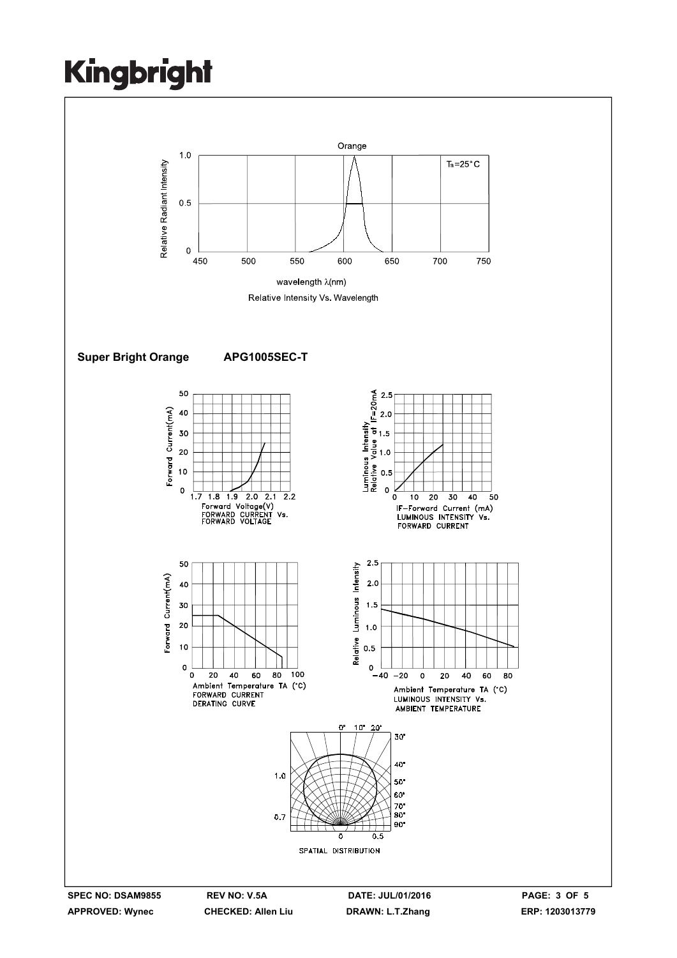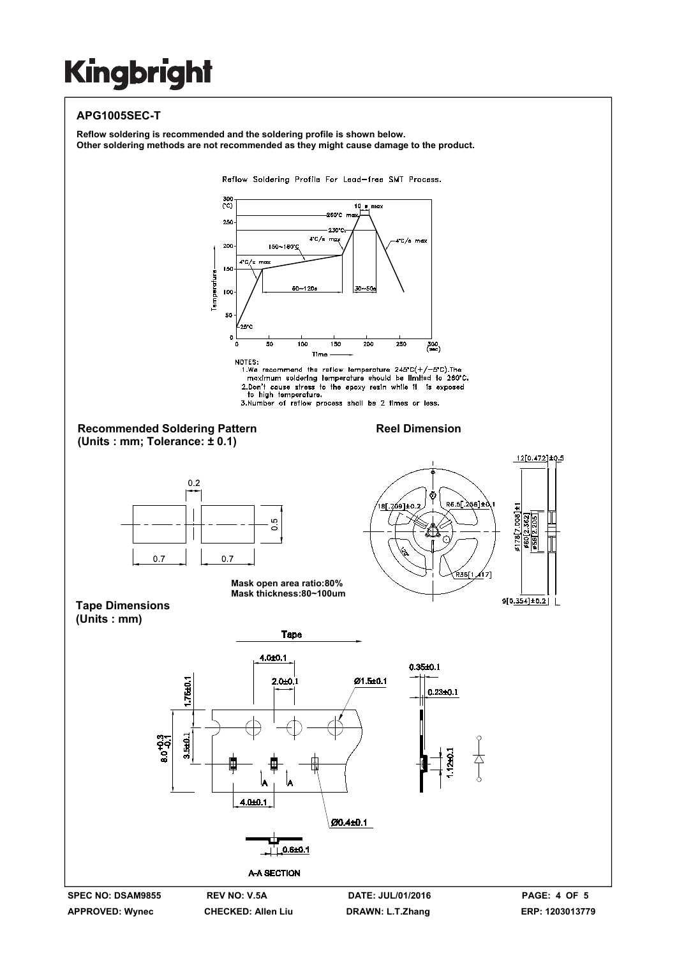### **APG1005SEC-T**

**Reflow soldering is recommended and the soldering profile is shown below. Other soldering methods are not recommended as they might cause damage to the product.**